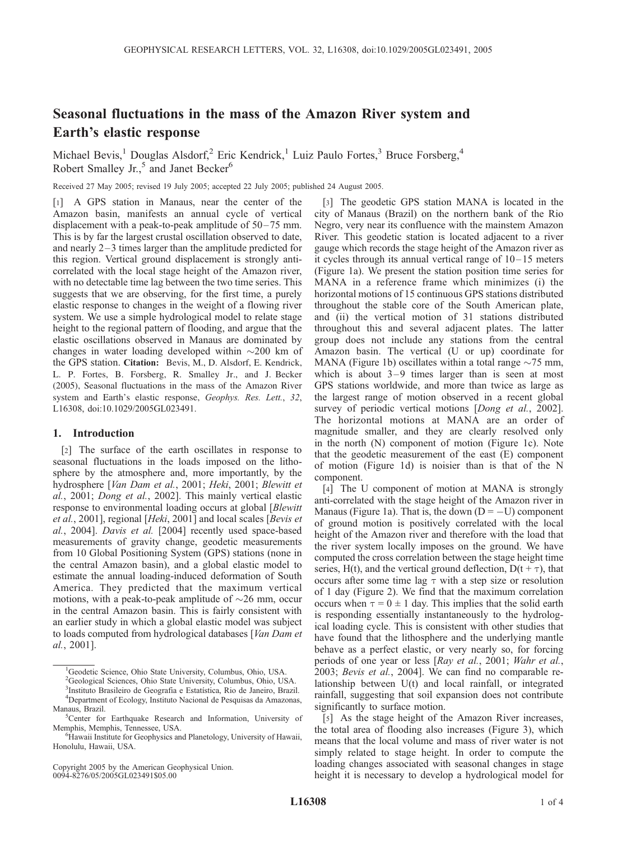# Seasonal fluctuations in the mass of the Amazon River system and Earth's elastic response

Michael Bevis,<sup>1</sup> Douglas Alsdorf,<sup>2</sup> Eric Kendrick,<sup>1</sup> Luiz Paulo Fortes,<sup>3</sup> Bruce Forsberg,<sup>4</sup> Robert Smalley Jr.,<sup>5</sup> and Janet Becker<sup>6</sup>

Received 27 May 2005; revised 19 July 2005; accepted 22 July 2005; published 24 August 2005.

[1] A GPS station in Manaus, near the center of the Amazon basin, manifests an annual cycle of vertical displacement with a peak-to-peak amplitude of 50– 75 mm. This is by far the largest crustal oscillation observed to date, and nearly  $2-3$  times larger than the amplitude predicted for this region. Vertical ground displacement is strongly anticorrelated with the local stage height of the Amazon river, with no detectable time lag between the two time series. This suggests that we are observing, for the first time, a purely elastic response to changes in the weight of a flowing river system. We use a simple hydrological model to relate stage height to the regional pattern of flooding, and argue that the elastic oscillations observed in Manaus are dominated by changes in water loading developed within  $\sim$ 200 km of the GPS station. Citation: Bevis, M., D. Alsdorf, E. Kendrick, L. P. Fortes, B. Forsberg, R. Smalley Jr., and J. Becker (2005), Seasonal fluctuations in the mass of the Amazon River system and Earth's elastic response, Geophys. Res. Lett., 32, L16308, doi:10.1029/2005GL023491.

## 1. Introduction

[2] The surface of the earth oscillates in response to seasonal fluctuations in the loads imposed on the lithosphere by the atmosphere and, more importantly, by the hydrosphere [Van Dam et al., 2001; Heki, 2001; Blewitt et al., 2001; Dong et al., 2002]. This mainly vertical elastic response to environmental loading occurs at global [Blewitt et al., 2001], regional [Heki, 2001] and local scales [Bevis et al., 2004]. Davis et al. [2004] recently used space-based measurements of gravity change, geodetic measurements from 10 Global Positioning System (GPS) stations (none in the central Amazon basin), and a global elastic model to estimate the annual loading-induced deformation of South America. They predicted that the maximum vertical motions, with a peak-to-peak amplitude of  $\sim$ 26 mm, occur in the central Amazon basin. This is fairly consistent with an earlier study in which a global elastic model was subject to loads computed from hydrological databases [*Van Dam et* al., 2001].

<sup>3</sup>Instituto Brasileiro de Geografia e Estatística, Rio de Janeiro, Brazil.<br><sup>4</sup>Department of Ecology, Instituto Nacional de Pesquises de Amazones Department of Ecology, Instituto Nacional de Pesquisas da Amazonas, Manaus, Brazil.

Copyright 2005 by the American Geophysical Union. 0094-8276/05/2005GL023491\$05.00

[3] The geodetic GPS station MANA is located in the city of Manaus (Brazil) on the northern bank of the Rio Negro, very near its confluence with the mainstem Amazon River. This geodetic station is located adjacent to a river gauge which records the stage height of the Amazon river as it cycles through its annual vertical range of  $10-15$  meters (Figure 1a). We present the station position time series for MANA in a reference frame which minimizes (i) the horizontal motions of 15 continuous GPS stations distributed throughout the stable core of the South American plate, and (ii) the vertical motion of 31 stations distributed throughout this and several adjacent plates. The latter group does not include any stations from the central Amazon basin. The vertical (U or up) coordinate for MANA (Figure 1b) oscillates within a total range  $\sim$ 75 mm, which is about  $3-9$  times larger than is seen at most GPS stations worldwide, and more than twice as large as the largest range of motion observed in a recent global survey of periodic vertical motions [*Dong et al.*, 2002]. The horizontal motions at MANA are an order of magnitude smaller, and they are clearly resolved only in the north (N) component of motion (Figure 1c). Note that the geodetic measurement of the east (E) component of motion (Figure 1d) is noisier than is that of the N component.

[4] The U component of motion at MANA is strongly anti-correlated with the stage height of the Amazon river in Manaus (Figure 1a). That is, the down  $(D = -U)$  component of ground motion is positively correlated with the local height of the Amazon river and therefore with the load that the river system locally imposes on the ground. We have computed the cross correlation between the stage height time series, H(t), and the vertical ground deflection,  $D(t + \tau)$ , that occurs after some time lag  $\tau$  with a step size or resolution of 1 day (Figure 2). We find that the maximum correlation occurs when  $\tau = 0 \pm 1$  day. This implies that the solid earth is responding essentially instantaneously to the hydrological loading cycle. This is consistent with other studies that have found that the lithosphere and the underlying mantle behave as a perfect elastic, or very nearly so, for forcing periods of one year or less [Ray et al., 2001; Wahr et al., 2003; Bevis et al., 2004]. We can find no comparable relationship between U(t) and local rainfall, or integrated rainfall, suggesting that soil expansion does not contribute significantly to surface motion.

[5] As the stage height of the Amazon River increases, the total area of flooding also increases (Figure 3), which means that the local volume and mass of river water is not simply related to stage height. In order to compute the loading changes associated with seasonal changes in stage height it is necessary to develop a hydrological model for

<sup>&</sup>lt;sup>1</sup>Geodetic Science, Ohio State University, Columbus, Ohio, USA.

<sup>2</sup> Geological Sciences, Ohio State University, Columbus, Ohio, USA.

<sup>&</sup>lt;sup>5</sup>Center for Earthquake Research and Information, University of Memphis, Memphis, Tennessee, USA. <sup>6</sup>

<sup>&</sup>lt;sup>6</sup>Hawaii Institute for Geophysics and Planetology, University of Hawaii, Honolulu, Hawaii, USA.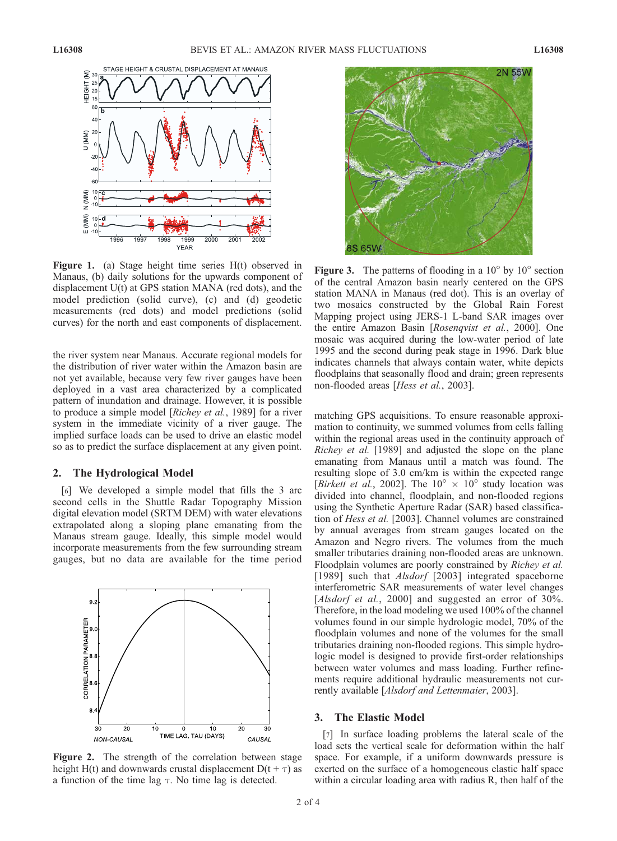

Figure 1. (a) Stage height time series H(t) observed in Manaus, (b) daily solutions for the upwards component of displacement U(t) at GPS station MANA (red dots), and the model prediction (solid curve), (c) and (d) geodetic measurements (red dots) and model predictions (solid curves) for the north and east components of displacement.

the river system near Manaus. Accurate regional models for the distribution of river water within the Amazon basin are not yet available, because very few river gauges have been deployed in a vast area characterized by a complicated pattern of inundation and drainage. However, it is possible to produce a simple model [Richey et al., 1989] for a river system in the immediate vicinity of a river gauge. The implied surface loads can be used to drive an elastic model so as to predict the surface displacement at any given point.

### 2. The Hydrological Model

[6] We developed a simple model that fills the 3 arc second cells in the Shuttle Radar Topography Mission digital elevation model (SRTM DEM) with water elevations extrapolated along a sloping plane emanating from the Manaus stream gauge. Ideally, this simple model would incorporate measurements from the few surrounding stream gauges, but no data are available for the time period



Figure 2. The strength of the correlation between stage height H(t) and downwards crustal displacement  $D(t + \tau)$  as a function of the time lag  $\tau$ . No time lag is detected.



**Figure 3.** The patterns of flooding in a  $10^{\circ}$  by  $10^{\circ}$  section of the central Amazon basin nearly centered on the GPS station MANA in Manaus (red dot). This is an overlay of two mosaics constructed by the Global Rain Forest Mapping project using JERS-1 L-band SAR images over the entire Amazon Basin [Rosenqvist et al., 2000]. One mosaic was acquired during the low-water period of late 1995 and the second during peak stage in 1996. Dark blue indicates channels that always contain water, white depicts floodplains that seasonally flood and drain; green represents non-flooded areas [Hess et al., 2003].

matching GPS acquisitions. To ensure reasonable approximation to continuity, we summed volumes from cells falling within the regional areas used in the continuity approach of Richey et al. [1989] and adjusted the slope on the plane emanating from Manaus until a match was found. The resulting slope of 3.0 cm/km is within the expected range [Birkett et al., 2002]. The  $10^{\circ} \times 10^{\circ}$  study location was divided into channel, floodplain, and non-flooded regions using the Synthetic Aperture Radar (SAR) based classification of Hess et al. [2003]. Channel volumes are constrained by annual averages from stream gauges located on the Amazon and Negro rivers. The volumes from the much smaller tributaries draining non-flooded areas are unknown. Floodplain volumes are poorly constrained by Richey et al. [1989] such that *Alsdorf* [2003] integrated spaceborne interferometric SAR measurements of water level changes [Alsdorf et al., 2000] and suggested an error of 30%. Therefore, in the load modeling we used 100% of the channel volumes found in our simple hydrologic model, 70% of the floodplain volumes and none of the volumes for the small tributaries draining non-flooded regions. This simple hydrologic model is designed to provide first-order relationships between water volumes and mass loading. Further refinements require additional hydraulic measurements not currently available [Alsdorf and Lettenmaier, 2003].

# 3. The Elastic Model

[7] In surface loading problems the lateral scale of the load sets the vertical scale for deformation within the half space. For example, if a uniform downwards pressure is exerted on the surface of a homogeneous elastic half space within a circular loading area with radius R, then half of the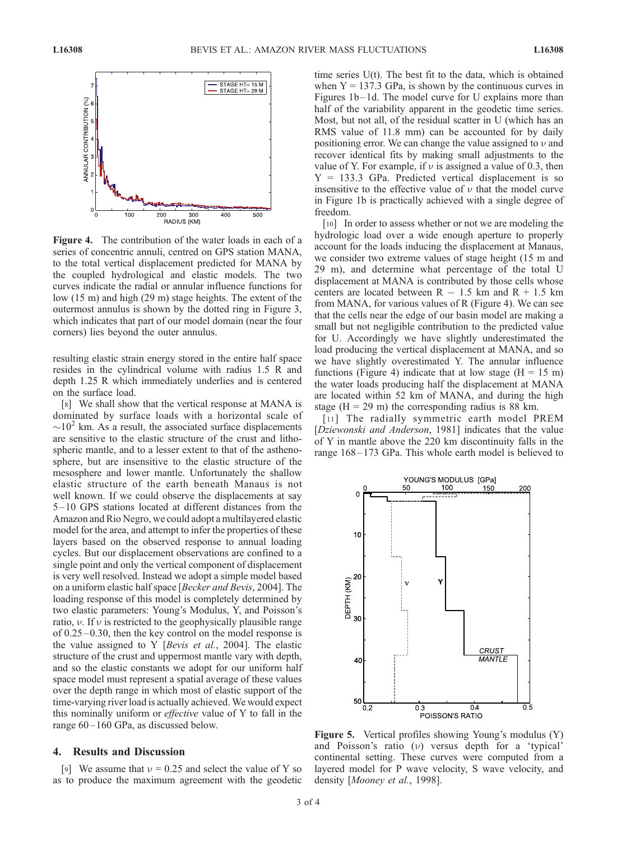

Figure 4. The contribution of the water loads in each of a series of concentric annuli, centred on GPS station MANA, to the total vertical displacement predicted for MANA by the coupled hydrological and elastic models. The two curves indicate the radial or annular influence functions for low (15 m) and high (29 m) stage heights. The extent of the outermost annulus is shown by the dotted ring in Figure 3, which indicates that part of our model domain (near the four corners) lies beyond the outer annulus.

resulting elastic strain energy stored in the entire half space resides in the cylindrical volume with radius 1.5 R and depth 1.25 R which immediately underlies and is centered on the surface load.

[8] We shall show that the vertical response at MANA is dominated by surface loads with a horizontal scale of  $\sim$ 10<sup>2</sup> km. As a result, the associated surface displacements are sensitive to the elastic structure of the crust and lithospheric mantle, and to a lesser extent to that of the asthenosphere, but are insensitive to the elastic structure of the mesosphere and lower mantle. Unfortunately the shallow elastic structure of the earth beneath Manaus is not well known. If we could observe the displacements at say 5 – 10 GPS stations located at different distances from the Amazon and Rio Negro, we could adopt a multilayered elastic model for the area, and attempt to infer the properties of these layers based on the observed response to annual loading cycles. But our displacement observations are confined to a single point and only the vertical component of displacement is very well resolved. Instead we adopt a simple model based on a uniform elastic half space [Becker and Bevis, 2004]. The loading response of this model is completely determined by two elastic parameters: Young's Modulus, Y, and Poisson's ratio,  $\nu$ . If  $\nu$  is restricted to the geophysically plausible range of 0.25 – 0.30, then the key control on the model response is the value assigned to Y [Bevis et al., 2004]. The elastic structure of the crust and uppermost mantle vary with depth, and so the elastic constants we adopt for our uniform half space model must represent a spatial average of these values over the depth range in which most of elastic support of the time-varying river load is actually achieved. We would expect this nominally uniform or effective value of Y to fall in the range  $60 - 160$  GPa, as discussed below.

# 4. Results and Discussion

[9] We assume that  $v = 0.25$  and select the value of Y so as to produce the maximum agreement with the geodetic

time series U(t). The best fit to the data, which is obtained when  $Y = 137.3$  GPa, is shown by the continuous curves in Figures 1b–1d. The model curve for U explains more than half of the variability apparent in the geodetic time series. Most, but not all, of the residual scatter in U (which has an RMS value of 11.8 mm) can be accounted for by daily positioning error. We can change the value assigned to  $\nu$  and recover identical fits by making small adjustments to the value of Y. For example, if  $\nu$  is assigned a value of 0.3, then  $Y = 133.3$  GPa. Predicted vertical displacement is so insensitive to the effective value of  $\nu$  that the model curve in Figure 1b is practically achieved with a single degree of freedom.

[10] In order to assess whether or not we are modeling the hydrologic load over a wide enough aperture to properly account for the loads inducing the displacement at Manaus, we consider two extreme values of stage height (15 m and 29 m), and determine what percentage of the total U displacement at MANA is contributed by those cells whose centers are located between  $R - 1.5$  km and  $R + 1.5$  km from MANA, for various values of R (Figure 4). We can see that the cells near the edge of our basin model are making a small but not negligible contribution to the predicted value for U. Accordingly we have slightly underestimated the load producing the vertical displacement at MANA, and so we have slightly overestimated Y. The annular influence functions (Figure 4) indicate that at low stage ( $H = 15$  m) the water loads producing half the displacement at MANA are located within 52 km of MANA, and during the high stage  $(H = 29 \text{ m})$  the corresponding radius is 88 km.

[11] The radially symmetric earth model PREM [Dziewonski and Anderson, 1981] indicates that the value of Y in mantle above the 220 km discontinuity falls in the range 168– 173 GPa. This whole earth model is believed to



Figure 5. Vertical profiles showing Young's modulus (Y) and Poisson's ratio  $(v)$  versus depth for a 'typical' continental setting. These curves were computed from a layered model for P wave velocity, S wave velocity, and density [*Mooney et al.*, 1998].